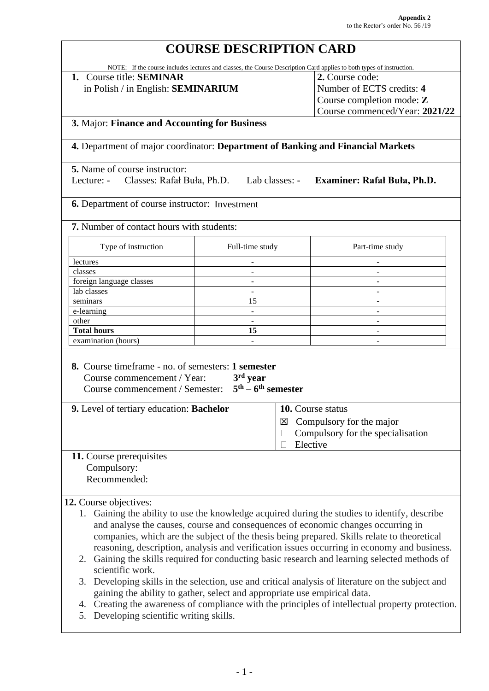# **COURSE DESCRIPTION CARD**

NOTE: If the course includes lectures and classes, the Course Description Card applies to both types of instruction.

**1.** Course title: **SEMINAR** in Polish / in English: **SEMINARIUM** **2.** Course code: Number of ECTS credits: **4** Course completion mode: **Z** Course commenced/Year: **2021/22**

#### **3.** Major: **Finance and Accounting for Business**

**4.** Department of major coordinator: **Department of Banking and Financial Markets**

**5.** Name of course instructor:

Lecture: - Classes: Rafał Buła, Ph.D. Lab classes: - **Examiner: Rafał Buła, Ph.D.**

**6.** Department of course instructor: Investment

**7.** Number of contact hours with students:

| Type of instruction      | Full-time study | Part-time study |
|--------------------------|-----------------|-----------------|
| lectures                 |                 |                 |
| classes                  |                 |                 |
| foreign language classes |                 |                 |
| lab classes              |                 |                 |
| seminars                 | 15              |                 |
| e-learning               |                 |                 |
| other                    |                 |                 |
| <b>Total hours</b>       | 15              |                 |
| examination (hours)      |                 |                 |

| <b>8.</b> Course timeframe - no. of semesters: <b>1 semester</b> |  |
|------------------------------------------------------------------|--|
| Course commencement / Year: $3rd year$                           |  |
| Course commencement / Semester: $5th - 6th$ semester             |  |

| <b>9.</b> Level of tertiary education: <b>Bachelor</b> | 10. Course status                        |
|--------------------------------------------------------|------------------------------------------|
|                                                        | $\boxtimes$ Compulsory for the major     |
|                                                        | $\Box$ Compulsory for the specialisation |
|                                                        | Elective                                 |

## **11.** Course prerequisites Compulsory:

Recommended:

### **12.** Course objectives:

- 1. Gaining the ability to use the knowledge acquired during the studies to identify, describe and analyse the causes, course and consequences of economic changes occurring in companies, which are the subject of the thesis being prepared. Skills relate to theoretical reasoning, description, analysis and verification issues occurring in economy and business.
- 2. Gaining the skills required for conducting basic research and learning selected methods of scientific work.
- 3. Developing skills in the selection, use and critical analysis of literature on the subject and gaining the ability to gather, select and appropriate use empirical data.
- 4. Creating the awareness of compliance with the principles of intellectual property protection.
- 5. Developing scientific writing skills.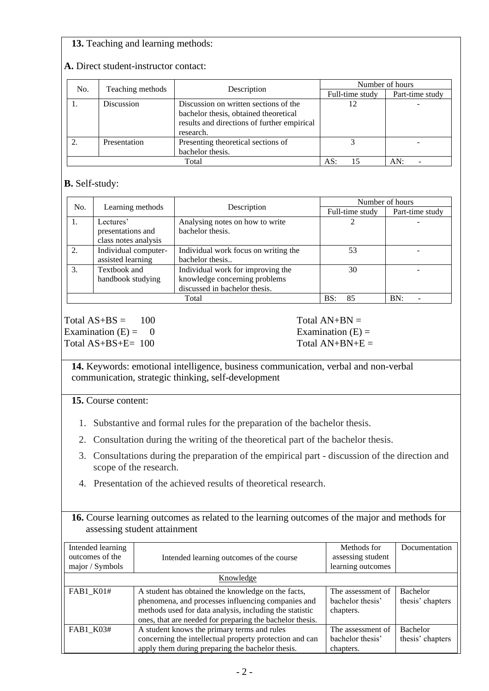## **13.** Teaching and learning methods:

| No. | Teaching methods | Description                                                                                                                                | Number of hours |                 |  |
|-----|------------------|--------------------------------------------------------------------------------------------------------------------------------------------|-----------------|-----------------|--|
|     |                  |                                                                                                                                            | Full-time study | Part-time study |  |
|     | Discussion       | Discussion on written sections of the<br>bachelor thesis, obtained theoretical<br>results and directions of further empirical<br>research. | 12              |                 |  |
|     | Presentation     | Presenting theoretical sections of<br>bachelor thesis.                                                                                     |                 |                 |  |
|     | Total            |                                                                                                                                            |                 | AN:             |  |

#### **A.** Direct student-instructor contact:

## **B.** Self-study:

| No.              |                      |                                      | Number of hours |                 |
|------------------|----------------------|--------------------------------------|-----------------|-----------------|
| Learning methods |                      | Description                          | Full-time study | Part-time study |
|                  | Lectures'            | Analysing notes on how to write      |                 |                 |
|                  | presentations and    | bachelor thesis.                     |                 |                 |
|                  | class notes analysis |                                      |                 |                 |
| 2.               | Individual computer- | Individual work focus on writing the | 53              |                 |
|                  | assisted learning    | bachelor thesis                      |                 |                 |
| 3.               | Textbook and         | Individual work for improving the    | 30              |                 |
|                  | handbook studying    | knowledge concerning problems        |                 |                 |
|                  |                      | discussed in bachelor thesis.        |                 |                 |
|                  |                      | 85<br>BS                             | BN:             |                 |

 $Total AS+BS = 100$  Total  $AN+BN =$ Examination  $(E) = 0$  Examination  $(E) = 0$ Total  $AS+BS+E= 100$  Total  $AN+BN+E=$ 

**14.** Keywords: emotional intelligence, business communication, verbal and non-verbal communication, strategic thinking, self-development

 **15.** Course content:

- 1. Substantive and formal rules for the preparation of the bachelor thesis.
- 2. Consultation during the writing of the theoretical part of the bachelor thesis.
- 3. Consultations during the preparation of the empirical part discussion of the direction and scope of the research.
- 4. Presentation of the achieved results of theoretical research.

#### **16.** Course learning outcomes as related to the learning outcomes of the major and methods for assessing student attainment

| Intended learning<br>outcomes of the<br>major / Symbols | Intended learning outcomes of the course                                                                                                                                                                                        | Methods for<br>assessing student<br>learning outcomes | Documentation                |
|---------------------------------------------------------|---------------------------------------------------------------------------------------------------------------------------------------------------------------------------------------------------------------------------------|-------------------------------------------------------|------------------------------|
|                                                         | Knowledge                                                                                                                                                                                                                       |                                                       |                              |
| FAB1_K01#                                               | A student has obtained the knowledge on the facts,<br>phenomena, and processes influencing companies and<br>methods used for data analysis, including the statistic<br>ones, that are needed for preparing the bachelor thesis. | The assessment of<br>bachelor thesis'<br>chapters.    | Bachelor<br>thesis' chapters |
| FAB1_K03#                                               | A student knows the primary terms and rules<br>concerning the intellectual property protection and can<br>apply them during preparing the bachelor thesis.                                                                      | The assessment of<br>bachelor thesis'<br>chapters.    | Bachelor<br>thesis' chapters |